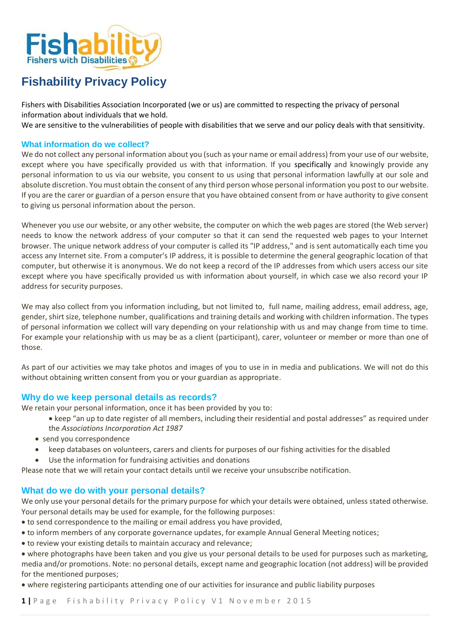

# **Fishability Privacy Policy**

Fishers with Disabilities Association Incorporated (we or us) are committed to respecting the privacy of personal information about individuals that we hold.

We are sensitive to the vulnerabilities of people with disabilities that we serve and our policy deals with that sensitivity.

## **What information do we collect?**

We do not collect any personal information about you (such as your name or email address) from your use of our website, except where you have specifically provided us with that information. If you specifically and knowingly provide any personal information to us via our website, you consent to us using that personal information lawfully at our sole and absolute discretion. You must obtain the consent of any third person whose personal information you post to our website. If you are the carer or guardian of a person ensure that you have obtained consent from or have authority to give consent to giving us personal information about the person.

Whenever you use our website, or any other website, the computer on which the web pages are stored (the Web server) needs to know the network address of your computer so that it can send the requested web pages to your Internet browser. The unique network address of your computer is called its "IP address," and is sent automatically each time you access any Internet site. From a computer's IP address, it is possible to determine the general geographic location of that computer, but otherwise it is anonymous. We do not keep a record of the IP addresses from which users access our site except where you have specifically provided us with information about yourself, in which case we also record your IP address for security purposes.

We may also collect from you information including, but not limited to, full name, mailing address, email address, age, gender, shirt size, telephone number, qualifications and training details and working with children information. The types of personal information we collect will vary depending on your relationship with us and may change from time to time. For example your relationship with us may be as a client (participant), carer, volunteer or member or more than one of those.

As part of our activities we may take photos and images of you to use in in media and publications. We will not do this without obtaining written consent from you or your guardian as appropriate.

# **Why do we keep personal details as records?**

We retain your personal information, once it has been provided by you to:

- keep "an up to date register of all members, including their residential and postal addresses" as required under the *Associations Incorporation Act 1987*
- send you correspondence
- keep databases on volunteers, carers and clients for purposes of our fishing activities for the disabled
- Use the information for fundraising activities and donations

Please note that we will retain your contact details until we receive your unsubscribe notification.

# **What do we do with your personal details?**

We only use your personal details for the primary purpose for which your details were obtained, unless stated otherwise. Your personal details may be used for example, for the following purposes:

- to send correspondence to the mailing or email address you have provided,
- to inform members of any corporate governance updates, for example Annual General Meeting notices;
- to review your existing details to maintain accuracy and relevance;
- where photographs have been taken and you give us your personal details to be used for purposes such as marketing, media and/or promotions. Note: no personal details, except name and geographic location (not address) will be provided for the mentioned purposes;
- where registering participants attending one of our activities for insurance and public liability purposes